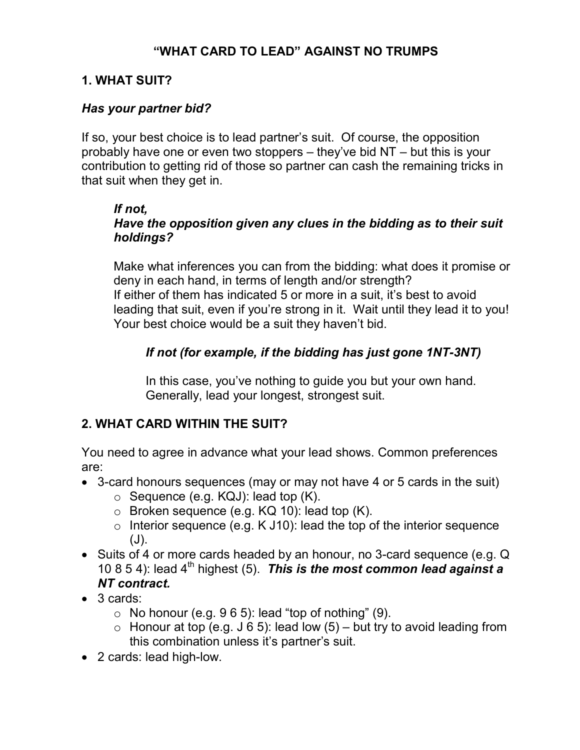## "WHAT CARD TO LEAD" AGAINST NO TRUMPS

### 1. WHAT SUIT?

### Has your partner bid?

If so, your best choice is to lead partner's suit. Of course, the opposition probably have one or even two stoppers – they've bid NT – but this is your contribution to getting rid of those so partner can cash the remaining tricks in that suit when they get in.

#### If not,

## Have the opposition given any clues in the bidding as to their suit holdings?

Make what inferences you can from the bidding: what does it promise or deny in each hand, in terms of length and/or strength? If either of them has indicated 5 or more in a suit, it's best to avoid leading that suit, even if you're strong in it. Wait until they lead it to you! Your best choice would be a suit they haven't bid.

## If not (for example, if the bidding has just gone 1NT-3NT)

In this case, you've nothing to guide you but your own hand. Generally, lead your longest, strongest suit.

## 2. WHAT CARD WITHIN THE SUIT?

You need to agree in advance what your lead shows. Common preferences are:

- 3-card honours sequences (may or may not have 4 or 5 cards in the suit)
	- $\circ$  Sequence (e.g. KQJ): lead top (K).
	- $\circ$  Broken sequence (e.g. KQ 10): lead top (K).
	- $\circ$  Interior sequence (e.g. K J10): lead the top of the interior sequence  $(J)$ .
- Suits of 4 or more cards headed by an honour, no 3-card sequence (e.g. Q 10 8 5 4): lead  $4<sup>th</sup>$  highest (5). This is the most common lead against a NT contract.
- 3 cards:
	- $\circ$  No honour (e.g. 9 6 5): lead "top of nothing" (9).
	- $\circ$  Honour at top (e.g. J 6 5): lead low (5) but try to avoid leading from this combination unless it's partner's suit.
- 2 cards: lead high-low.